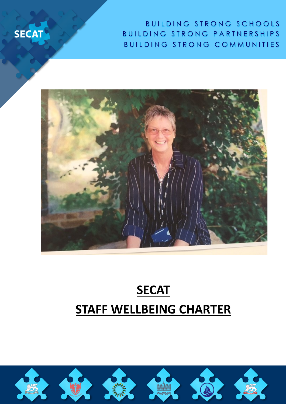B U I L D I N G S T R O N G S C H O O L S BUILDING STRONG PARTNERSHIPS BUILDING STRONG COMMUNITIES



**SECAT** 

# **SECAT STAFF WELLBEING CHARTER**

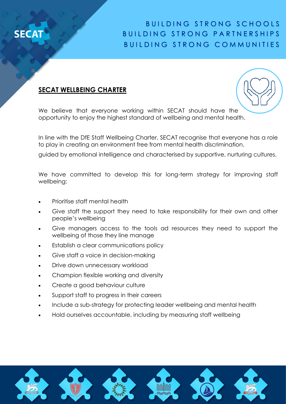

### BUILDING STRONG SCHOOLS B U I L D I N G S T R O N G P A R T N E R S H I P S BUILDING STRONG COMMUNITIES

#### **SECAT WELLBEING CHARTER**



We believe that everyone working within SECAT should have the opportunity to enjoy the highest standard of wellbeing and mental health.

In line with the DfE Staff Wellbeing Charter, SECAT recognise that everyone has a role to play in creating an environment free from mental health discrimination,

guided by emotional intelligence and characterised by supportive, nurturing cultures.

We have committed to develop this for long-term strategy for improving staff wellbeing:

- Prioritise staff mental health
- Give staff the support they need to take responsibility for their own and other people's wellbeing
- Give managers access to the tools ad resources they need to support the wellbeing of those they line manage
- Establish a clear communications policy
- Give staff a voice in decision-making
- Drive down unnecessary workload
- Champion flexible working and diversity
- Create a good behaviour culture
- Support staff to progress in their careers
- Include a sub-strategy for protecting leader wellbeing and mental health
- Hold ourselves accountable, including by measuring staff wellbeing

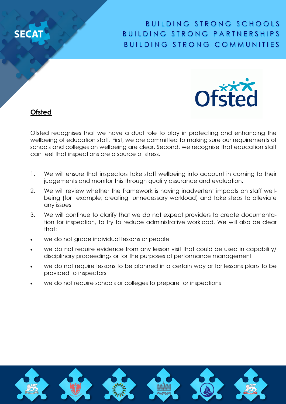## **SFC**

### BUILDING STRONG SCHOOLS BUILDING STRONG PARTNERSHIPS BUILDING STRONG COMMUNITIES



**Ofsted**

Ofsted recognises that we have a dual role to play in protecting and enhancing the wellbeing of education staff. First, we are committed to making sure our requirements of schools and colleges on wellbeing are clear. Second, we recognise that education staff can feel that inspections are a source of stress.

- 1. We will ensure that inspectors take staff wellbeing into account in coming to their judgements and monitor this through quality assurance and evaluation.
- 2. We will review whether the framework is having inadvertent impacts on staff wellbeing (for example, creating unnecessary workload) and take steps to alleviate any issues
- 3. We will continue to clarify that we do not expect providers to create documentation for inspection, to try to reduce administrative workload. We will also be clear that:
- we do not grade individual lessons or people
- we do not require evidence from any lesson visit that could be used in capability/ disciplinary proceedings or for the purposes of performance management
- we do not require lessons to be planned in a certain way or for lessons plans to be provided to inspectors
- we do not require schools or colleges to prepare for inspections